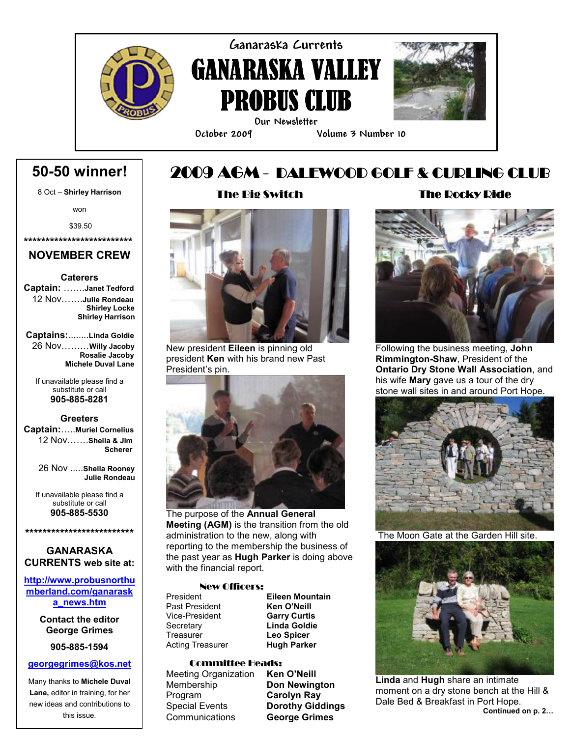

Ganaraska Currents GANARASKA VALLEY PROBUS CLUB



Our Newsletter

i

#### October 2009 Volume 3 Number 10

# 50-50 winner!

8 Oct – Shirley Harrison The Big Switch 2009 AGM - DALEWOOD GOLF & CURLING CLUB

won

\$39.50

\*\*\*\*\*\*\*\*\*\*\*\*\*\*\*\*\*\*\*\*\*\*\*\*\*

### NOVEMBER CREW

#### **Caterers**

Captain: …….Janet Tedford 12 Nov…….Julie Rondeau Shirley Locke Shirley Harrison

Captains:........Linda Goldie 26 Nov………Willy Jacoby Rosalie Jacoby Michele Duval Lane

If unavailable please find a substitute or call 905-885-8281

#### **Greeters**

Captain:…..Muriel Cornelius 12 Nov…….Sheila & Jim Scherer

> 26 Nov .....Sheila Rooney Julie Rondeau

If unavailable please find a substitute or call 905-885-5530

### GANARASKA CURRENTS web site at:

\*\*\*\*\*\*\*\*\*\*\*\*\*\*\*\*\*\*\*\*\*\*\*\*\*

http://www.probusnorthu mberland.com/ganarask a\_news.htm

> Contact the editor George Grimes

> > 905-885-1594

#### georgegrimes@kos.net

Many thanks to Michele Duval Lane, editor in training, for her new ideas and contributions to this issue.



New president Eileen is pinning old president Ken with his brand new Past President's pin.



The purpose of the **Annual General** Meeting (AGM) is the transition from the old administration to the new, along with reporting to the membership the business of the past year as **Hugh Parker** is doing above with the financial report.

#### New Officers:

President Eileen Mountain<br>
Past President **Ken O'Neill** Past President **Ken O'Neill**<br>
Vice-President **Garry Curtis** Vice-President<br>Secretary Secretary **Linda Goldie**<br>
Treasurer **Leo Spicer** Acting Treasurer

Leo Spicer<br>Hugh Parker

#### Committee Heads:

Meeting Organization Ken O'Neill Membership **Don Newington** Program Carolyn Ray Special Events **Dorothy Giddings** Communications George Grimes

### The Rocky Ride



Following the business meeting, John Rimmington-Shaw, President of the Ontario Dry Stone Wall Association, and his wife **Mary** gave us a tour of the dry stone wall sites in and around Port Hope.



The Moon Gate at the Garden Hill site.



Linda and Hugh share an intimate moment on a dry stone bench at the Hill & Dale Bed & Breakfast in Port Hope. Continued on p. 2…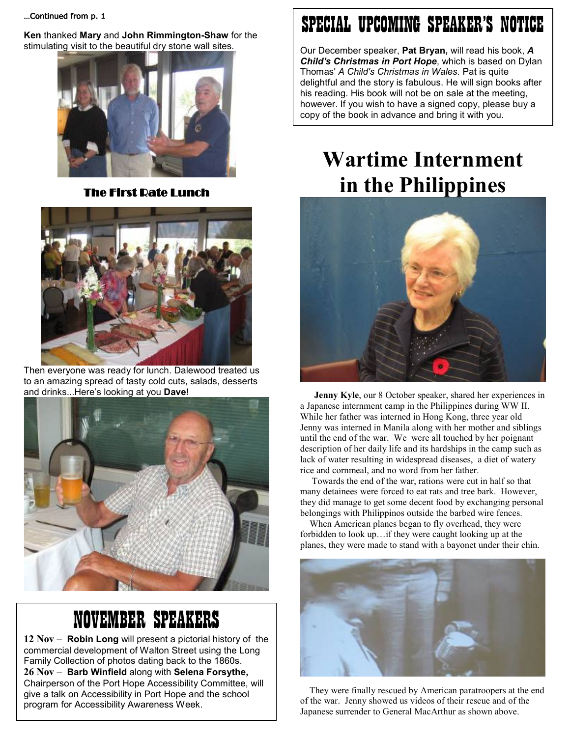…Continued from p. 1

Ken thanked Mary and John Rimmington-Shaw for the stimulating visit to the beautiful dry stone wall sites.



**The First Rate Lunch** 



Then everyone was ready for lunch. Dalewood treated us to an amazing spread of tasty cold cuts, salads, desserts and drinks...Here's looking at you Dave!



# NOVEMBER SPEAKERS

12 Nov – Robin Long will present a pictorial history of the commercial development of Walton Street using the Long Family Collection of photos dating back to the 1860s. 26 Nov – Barb Winfield along with Selena Forsythe, Chairperson of the Port Hope Accessibility Committee, will give a talk on Accessibility in Port Hope and the school program for Accessibility Awareness Week.

# SPECIAL UPCOMING SPEAKER'S NOTICE

Our December speaker, Pat Bryan, will read his book, A Child's Christmas in Port Hope, which is based on Dylan Thomas' A Child's Christmas in Wales. Pat is quite delightful and the story is fabulous. He will sign books after his reading. His book will not be on sale at the meeting, however. If you wish to have a signed copy, please buy a copy of the book in advance and bring it with you.

# Wartime Internment in the Philippines



 Jenny Kyle, our 8 October speaker, shared her experiences in a Japanese internment camp in the Philippines during WW II. While her father was interned in Hong Kong, three year old Jenny was interned in Manila along with her mother and siblings until the end of the war. We were all touched by her poignant description of her daily life and its hardships in the camp such as lack of water resulting in widespread diseases, a diet of watery rice and cornmeal, and no word from her father.

 Towards the end of the war, rations were cut in half so that many detainees were forced to eat rats and tree bark. However, they did manage to get some decent food by exchanging personal belongings with Philippinos outside the barbed wire fences.

 When American planes began to fly overhead, they were forbidden to look up…if they were caught looking up at the planes, they were made to stand with a bayonet under their chin.



 They were finally rescued by American paratroopers at the end of the war. Jenny showed us videos of their rescue and of the Japanese surrender to General MacArthur as shown above.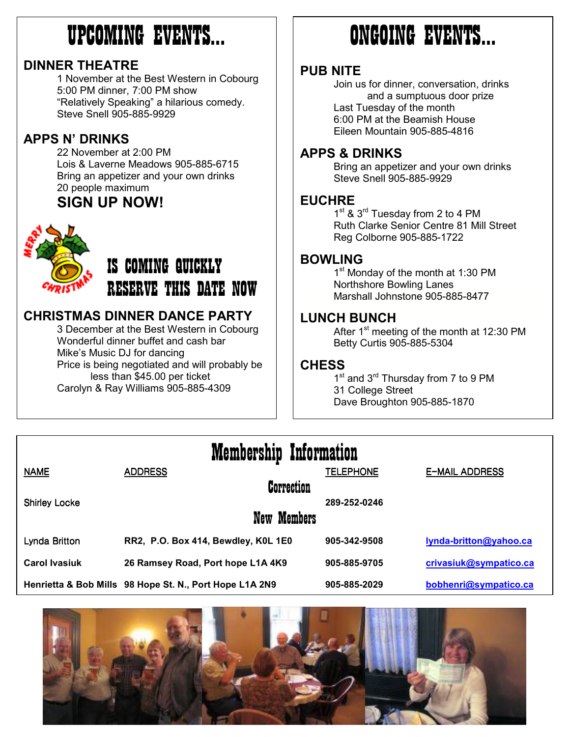# UPCOMING EVENTS…

### DINNER THEATRE

` 1 November at the Best Western in Cobourg 5:00 PM dinner, 7:00 PM show "Relatively Speaking" a hilarious comedy. Steve Snell 905-885-9929

## APPS N' DRINKS

22 November at 2:00 PM Lois & Laverne Meadows 905-885-6715 Bring an appetizer and your own drinks 20 people maximum

# SIGN UP NOW!



# IS COMING QUICKLY RESERVE THIS DATE NOW

# CHRISTMAS DINNER DANCE PARTY

3 December at the Best Western in Cobourg Wonderful dinner buffet and cash bar Mike's Music DJ for dancing Price is being negotiated and will probably be less than \$45.00 per ticket Carolyn & Ray Williams 905-885-4309

# ONGOING EVENTS…

### PUB NITE

Join us for dinner, conversation, drinks and a sumptuous door prize Last Tuesday of the month 6:00 PM at the Beamish House Eileen Mountain 905-885-4816

### APPS & DRINKS

Bring an appetizer and your own drinks Steve Snell 905-885-9929

### **EUCHRE**

1<sup>st</sup> & 3<sup>rd</sup> Tuesday from 2 to 4 PM Ruth Clarke Senior Centre 81 Mill Street Reg Colborne 905-885-1722

## BOWLING

1<sup>st</sup> Monday of the month at 1:30 PM Northshore Bowling Lanes Marshall Johnstone 905-885-8477

### LUNCH BUNCH

After  $1<sup>st</sup>$  meeting of the month at 12:30 PM Betty Curtis 905-885-5304

### **CHESS**

1<sup>st</sup> and 3<sup>rd</sup> Thursday from 7 to 9 PM 31 College Street Dave Broughton 905-885-1870

# Membership Information

| <b>NAME</b>          | <b>ADDRESS</b>                                          | <b>TELEPHONE</b> | <b>E-MAIL ADDRESS</b>  |
|----------------------|---------------------------------------------------------|------------------|------------------------|
|                      | <b>Correction</b>                                       |                  |                        |
| <b>Shirley Locke</b> | New Members                                             | 289-252-0246     |                        |
| Lynda Britton        | RR2, P.O. Box 414, Bewdley, K0L 1E0                     | 905-342-9508     | lynda-britton@yahoo.ca |
| <b>Carol Ivasiuk</b> | 26 Ramsey Road, Port hope L1A 4K9                       | 905-885-9705     | crivasiuk@sympatico.ca |
|                      | Henrietta & Bob Mills 98 Hope St. N., Port Hope L1A 2N9 | 905-885-2029     | bobhenri@sympatico.ca  |